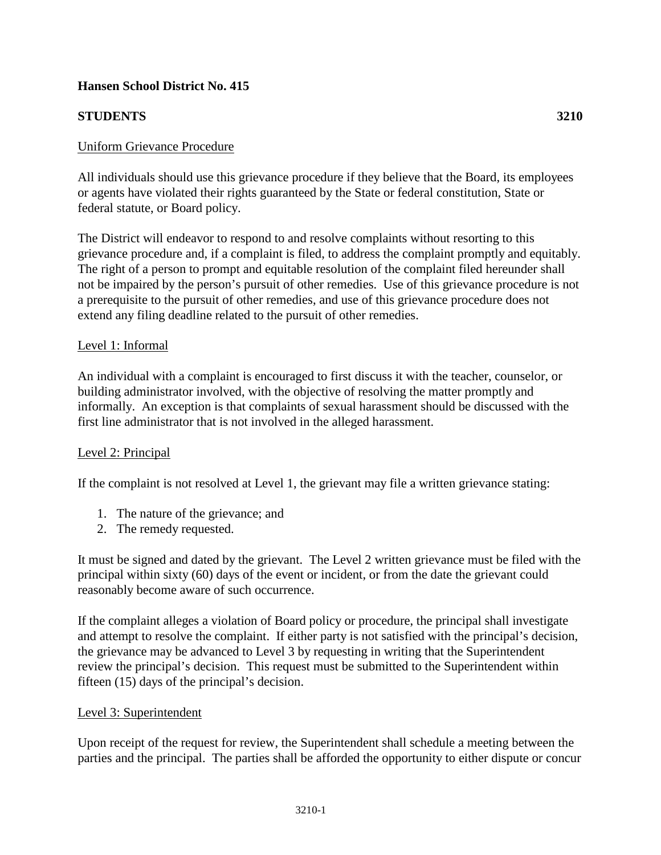# **Hansen School District No. 415**

# **STUDENTS 3210**

### Uniform Grievance Procedure

All individuals should use this grievance procedure if they believe that the Board, its employees or agents have violated their rights guaranteed by the State or federal constitution, State or federal statute, or Board policy.

The District will endeavor to respond to and resolve complaints without resorting to this grievance procedure and, if a complaint is filed, to address the complaint promptly and equitably. The right of a person to prompt and equitable resolution of the complaint filed hereunder shall not be impaired by the person's pursuit of other remedies. Use of this grievance procedure is not a prerequisite to the pursuit of other remedies, and use of this grievance procedure does not extend any filing deadline related to the pursuit of other remedies.

#### Level 1: Informal

An individual with a complaint is encouraged to first discuss it with the teacher, counselor, or building administrator involved, with the objective of resolving the matter promptly and informally. An exception is that complaints of sexual harassment should be discussed with the first line administrator that is not involved in the alleged harassment.

#### Level 2: Principal

If the complaint is not resolved at Level 1, the grievant may file a written grievance stating:

- 1. The nature of the grievance; and
- 2. The remedy requested.

It must be signed and dated by the grievant. The Level 2 written grievance must be filed with the principal within sixty (60) days of the event or incident, or from the date the grievant could reasonably become aware of such occurrence.

If the complaint alleges a violation of Board policy or procedure, the principal shall investigate and attempt to resolve the complaint. If either party is not satisfied with the principal's decision, the grievance may be advanced to Level 3 by requesting in writing that the Superintendent review the principal's decision. This request must be submitted to the Superintendent within fifteen (15) days of the principal's decision.

#### Level 3: Superintendent

Upon receipt of the request for review, the Superintendent shall schedule a meeting between the parties and the principal. The parties shall be afforded the opportunity to either dispute or concur